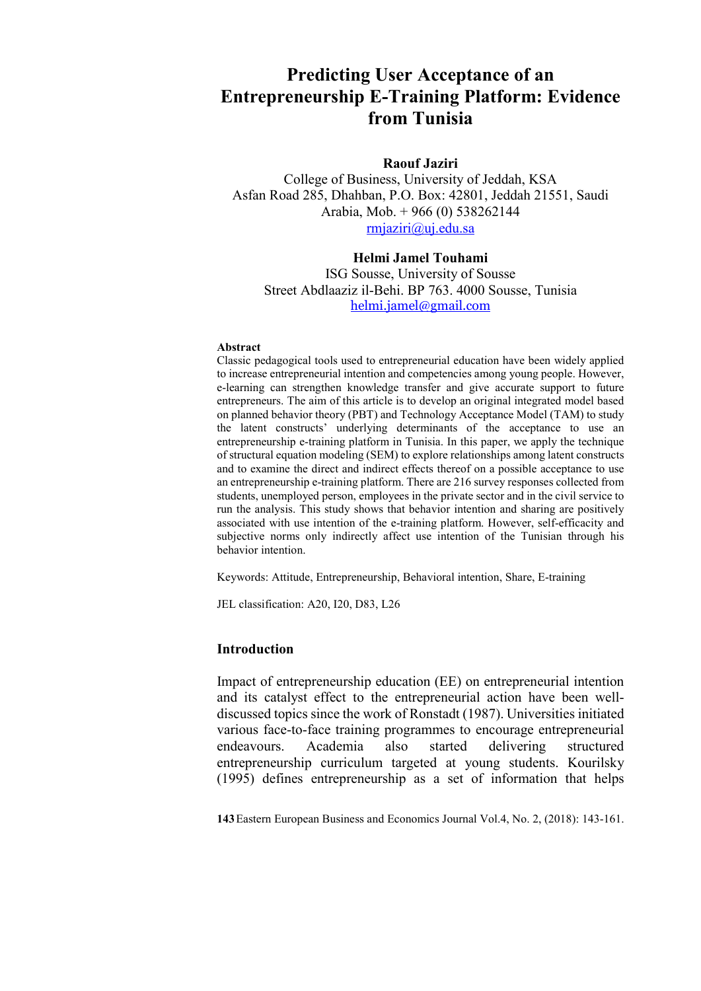# **Predicting User Acceptance of an Entrepreneurship E-Training Platform: Evidence from Tunisia**

## **Raouf Jaziri**

College of Business, University of Jeddah, KSA Asfan Road 285, Dhahban, P.O. Box: 42801, Jeddah 21551, Saudi Arabia, Mob. + 966 (0) 538262144 rmjaziri@uj.edu.sa

# **Helmi Jamel Touhami**

ISG Sousse, University of Sousse Street Abdlaaziz il-Behi. BP 763. 4000 Sousse, Tunisia helmi.jamel@gmail.com

#### **Abstract**

Classic pedagogical tools used to entrepreneurial education have been widely applied to increase entrepreneurial intention and competencies among young people. However, e-learning can strengthen knowledge transfer and give accurate support to future entrepreneurs. The aim of this article is to develop an original integrated model based on planned behavior theory (PBT) and Technology Acceptance Model (TAM) to study the latent constructs' underlying determinants of the acceptance to use an entrepreneurship e-training platform in Tunisia. In this paper, we apply the technique of structural equation modeling (SEM) to explore relationships among latent constructs and to examine the direct and indirect effects thereof on a possible acceptance to use an entrepreneurship e-training platform. There are 216 survey responses collected from students, unemployed person, employees in the private sector and in the civil service to run the analysis. This study shows that behavior intention and sharing are positively associated with use intention of the e-training platform. However, self-efficacity and subjective norms only indirectly affect use intention of the Tunisian through his behavior intention.

Keywords: Attitude, Entrepreneurship, Behavioral intention, Share, E-training

JEL classification: A20, I20, D83, L26

## **Introduction**

Impact of entrepreneurship education (EE) on entrepreneurial intention and its catalyst effect to the entrepreneurial action have been welldiscussed topics since the work of Ronstadt (1987). Universities initiated various face-to-face training programmes to encourage entrepreneurial endeavours. Academia also started delivering structured entrepreneurship curriculum targeted at young students. Kourilsky (1995) defines entrepreneurship as a set of information that helps

**143** Eastern European Business and Economics Journal Vol.4, No. 2, (2018): 143-161.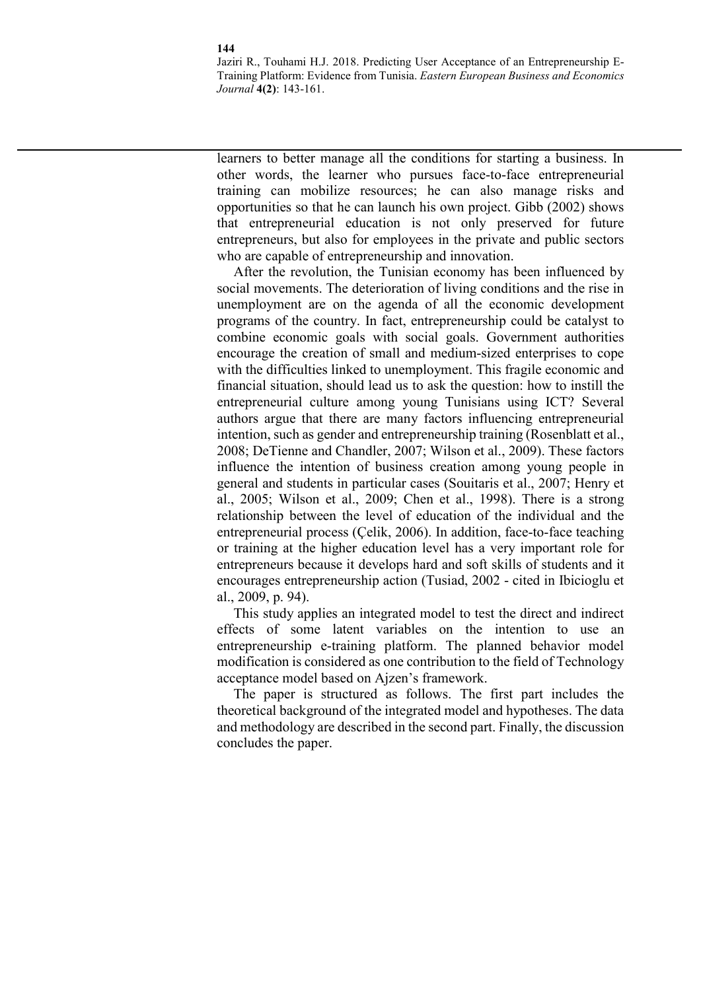learners to better manage all the conditions for starting a business. In other words, the learner who pursues face-to-face entrepreneurial training can mobilize resources; he can also manage risks and opportunities so that he can launch his own project. Gibb (2002) shows that entrepreneurial education is not only preserved for future entrepreneurs, but also for employees in the private and public sectors who are capable of entrepreneurship and innovation.

After the revolution, the Tunisian economy has been influenced by social movements. The deterioration of living conditions and the rise in unemployment are on the agenda of all the economic development programs of the country. In fact, entrepreneurship could be catalyst to combine economic goals with social goals. Government authorities encourage the creation of small and medium-sized enterprises to cope with the difficulties linked to unemployment. This fragile economic and financial situation, should lead us to ask the question: how to instill the entrepreneurial culture among young Tunisians using ICT? Several authors argue that there are many factors influencing entrepreneurial intention, such as gender and entrepreneurship training (Rosenblatt et al., 2008; DeTienne and Chandler, 2007; Wilson et al., 2009). These factors influence the intention of business creation among young people in general and students in particular cases (Souitaris et al., 2007; Henry et al., 2005; Wilson et al., 2009; Chen et al., 1998). There is a strong relationship between the level of education of the individual and the entrepreneurial process (Çelik, 2006). In addition, face-to-face teaching or training at the higher education level has a very important role for entrepreneurs because it develops hard and soft skills of students and it encourages entrepreneurship action (Tusiad, 2002 - cited in Ibicioglu et al., 2009, p. 94).

This study applies an integrated model to test the direct and indirect effects of some latent variables on the intention to use an entrepreneurship e-training platform. The planned behavior model modification is considered as one contribution to the field of Technology acceptance model based on Ajzen's framework.

The paper is structured as follows. The first part includes the theoretical background of the integrated model and hypotheses. The data and methodology are described in the second part. Finally, the discussion concludes the paper.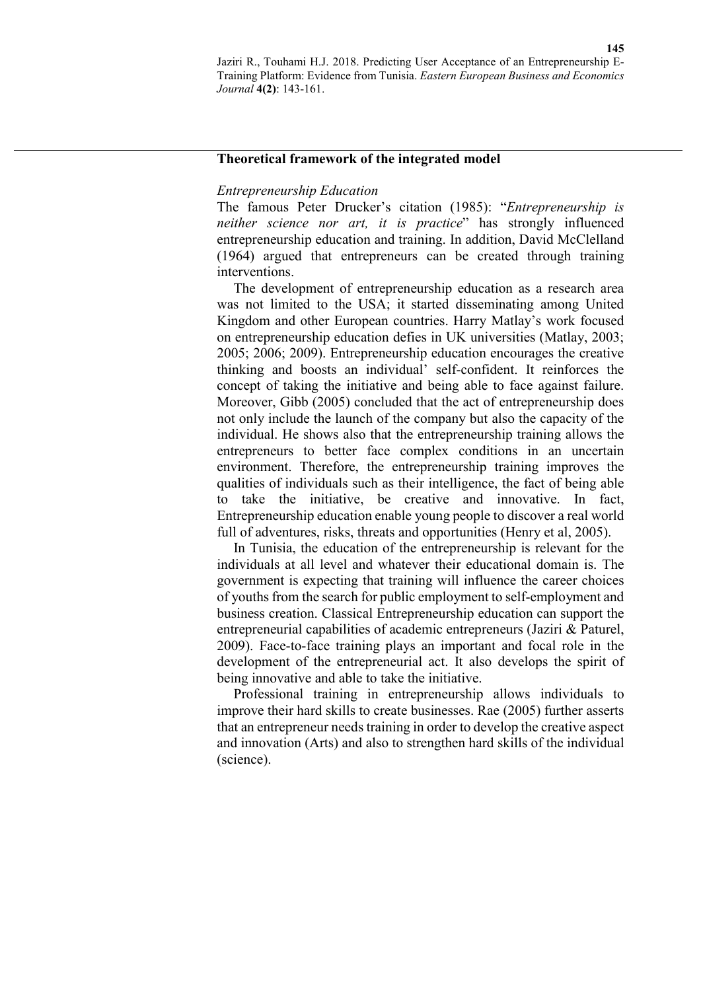#### **Theoretical framework of the integrated model**

#### *Entrepreneurship Education*

The famous Peter Drucker's citation (1985): "*Entrepreneurship is neither science nor art, it is practice*" has strongly influenced entrepreneurship education and training. In addition, David McClelland (1964) argued that entrepreneurs can be created through training interventions.

The development of entrepreneurship education as a research area was not limited to the USA; it started disseminating among United Kingdom and other European countries. Harry Matlay's work focused on entrepreneurship education defies in UK universities (Matlay, 2003; 2005; 2006; 2009). Entrepreneurship education encourages the creative thinking and boosts an individual' self-confident. It reinforces the concept of taking the initiative and being able to face against failure. Moreover, Gibb (2005) concluded that the act of entrepreneurship does not only include the launch of the company but also the capacity of the individual. He shows also that the entrepreneurship training allows the entrepreneurs to better face complex conditions in an uncertain environment. Therefore, the entrepreneurship training improves the qualities of individuals such as their intelligence, the fact of being able to take the initiative, be creative and innovative. In fact, Entrepreneurship education enable young people to discover a real world full of adventures, risks, threats and opportunities (Henry et al, 2005).

In Tunisia, the education of the entrepreneurship is relevant for the individuals at all level and whatever their educational domain is. The government is expecting that training will influence the career choices of youths from the search for public employment to self-employment and business creation. Classical Entrepreneurship education can support the entrepreneurial capabilities of academic entrepreneurs (Jaziri & Paturel, 2009). Face-to-face training plays an important and focal role in the development of the entrepreneurial act. It also develops the spirit of being innovative and able to take the initiative.

Professional training in entrepreneurship allows individuals to improve their hard skills to create businesses. Rae (2005) further asserts that an entrepreneur needs training in order to develop the creative aspect and innovation (Arts) and also to strengthen hard skills of the individual (science).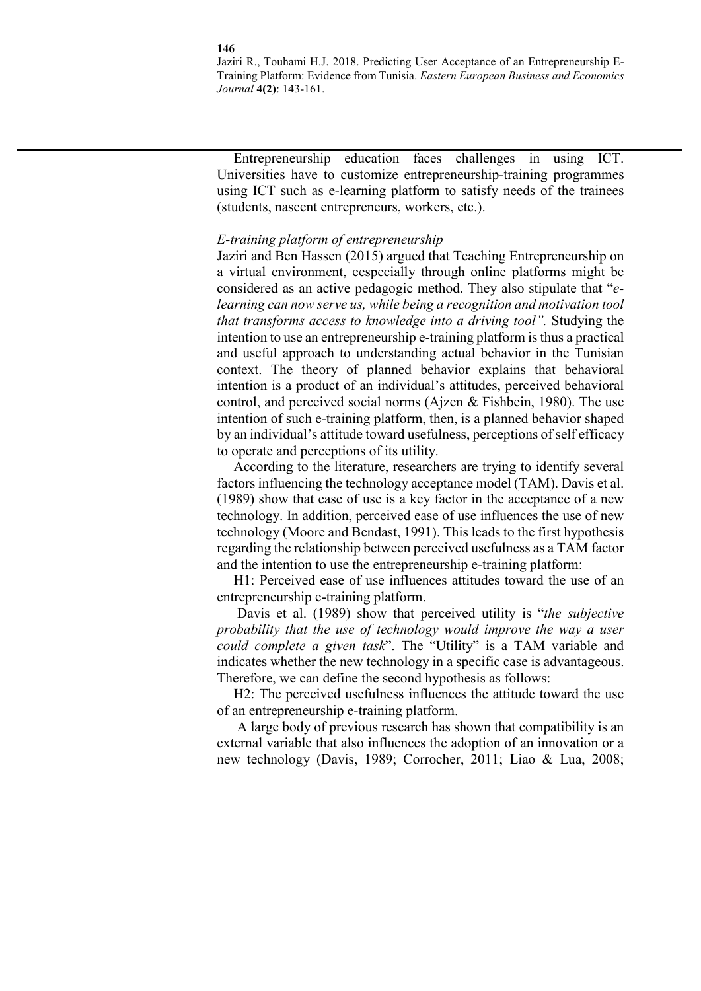Entrepreneurship education faces challenges in using ICT. Universities have to customize entrepreneurship-training programmes using ICT such as e-learning platform to satisfy needs of the trainees (students, nascent entrepreneurs, workers, etc.).

#### *E-training platform of entrepreneurship*

Jaziri and Ben Hassen (2015) argued that Teaching Entrepreneurship on a virtual environment, eespecially through online platforms might be considered as an active pedagogic method. They also stipulate that "*elearning can now serve us, while being a recognition and motivation tool that transforms access to knowledge into a driving tool".* Studying the intention to use an entrepreneurship e-training platform is thus a practical and useful approach to understanding actual behavior in the Tunisian context. The theory of planned behavior explains that behavioral intention is a product of an individual's attitudes, perceived behavioral control, and perceived social norms (Ajzen & Fishbein, 1980). The use intention of such e-training platform, then, is a planned behavior shaped by an individual's attitude toward usefulness, perceptions of self efficacy to operate and perceptions of its utility.

According to the literature, researchers are trying to identify several factors influencing the technology acceptance model (TAM). Davis et al. (1989) show that ease of use is a key factor in the acceptance of a new technology. In addition, perceived ease of use influences the use of new technology (Moore and Bendast, 1991). This leads to the first hypothesis regarding the relationship between perceived usefulness as a TAM factor and the intention to use the entrepreneurship e-training platform:

H1: Perceived ease of use influences attitudes toward the use of an entrepreneurship e-training platform.

 Davis et al. (1989) show that perceived utility is "*the subjective probability that the use of technology would improve the way a user could complete a given task*". The "Utility" is a TAM variable and indicates whether the new technology in a specific case is advantageous. Therefore, we can define the second hypothesis as follows:

H2: The perceived usefulness influences the attitude toward the use of an entrepreneurship e-training platform.

 A large body of previous research has shown that compatibility is an external variable that also influences the adoption of an innovation or a new technology (Davis, 1989; Corrocher, 2011; Liao & Lua, 2008;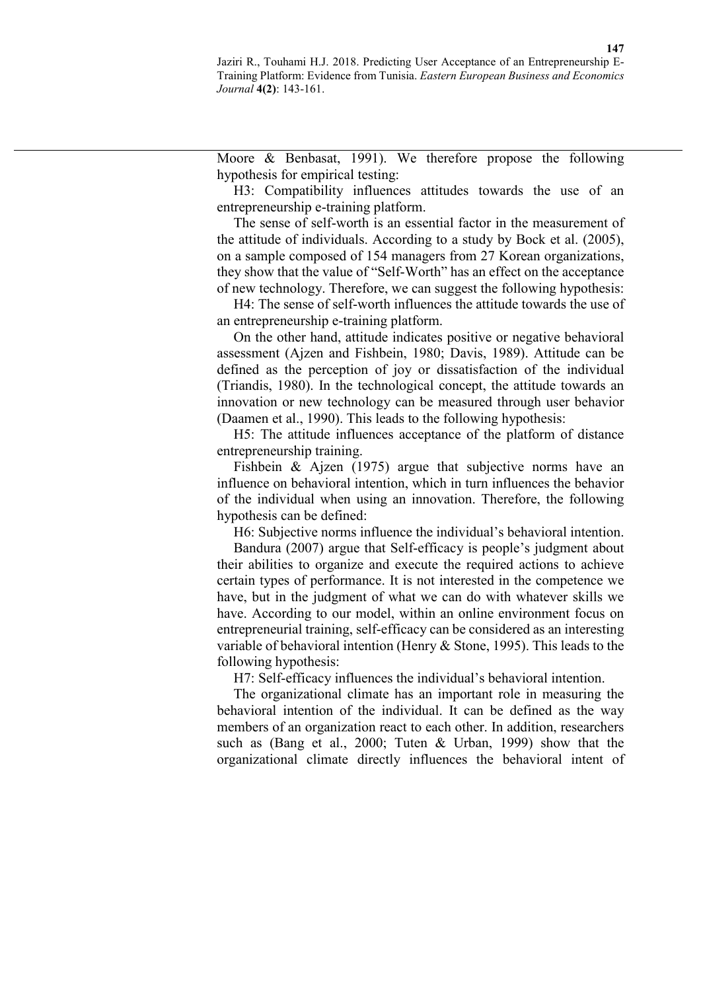Moore & Benbasat, 1991). We therefore propose the following hypothesis for empirical testing:

H3: Compatibility influences attitudes towards the use of an entrepreneurship e-training platform.

The sense of self-worth is an essential factor in the measurement of the attitude of individuals. According to a study by Bock et al. (2005), on a sample composed of 154 managers from 27 Korean organizations, they show that the value of "Self-Worth" has an effect on the acceptance of new technology. Therefore, we can suggest the following hypothesis:

H4: The sense of self-worth influences the attitude towards the use of an entrepreneurship e-training platform.

On the other hand, attitude indicates positive or negative behavioral assessment (Ajzen and Fishbein, 1980; Davis, 1989). Attitude can be defined as the perception of joy or dissatisfaction of the individual (Triandis, 1980). In the technological concept, the attitude towards an innovation or new technology can be measured through user behavior (Daamen et al., 1990). This leads to the following hypothesis:

H5: The attitude influences acceptance of the platform of distance entrepreneurship training.

Fishbein & Ajzen (1975) argue that subjective norms have an influence on behavioral intention, which in turn influences the behavior of the individual when using an innovation. Therefore, the following hypothesis can be defined:

H6: Subjective norms influence the individual's behavioral intention.

Bandura (2007) argue that Self-efficacy is people's judgment about their abilities to organize and execute the required actions to achieve certain types of performance. It is not interested in the competence we have, but in the judgment of what we can do with whatever skills we have. According to our model, within an online environment focus on entrepreneurial training, self-efficacy can be considered as an interesting variable of behavioral intention (Henry & Stone, 1995). This leads to the following hypothesis:

H7: Self-efficacy influences the individual's behavioral intention.

The organizational climate has an important role in measuring the behavioral intention of the individual. It can be defined as the way members of an organization react to each other. In addition, researchers such as (Bang et al., 2000; Tuten & Urban, 1999) show that the organizational climate directly influences the behavioral intent of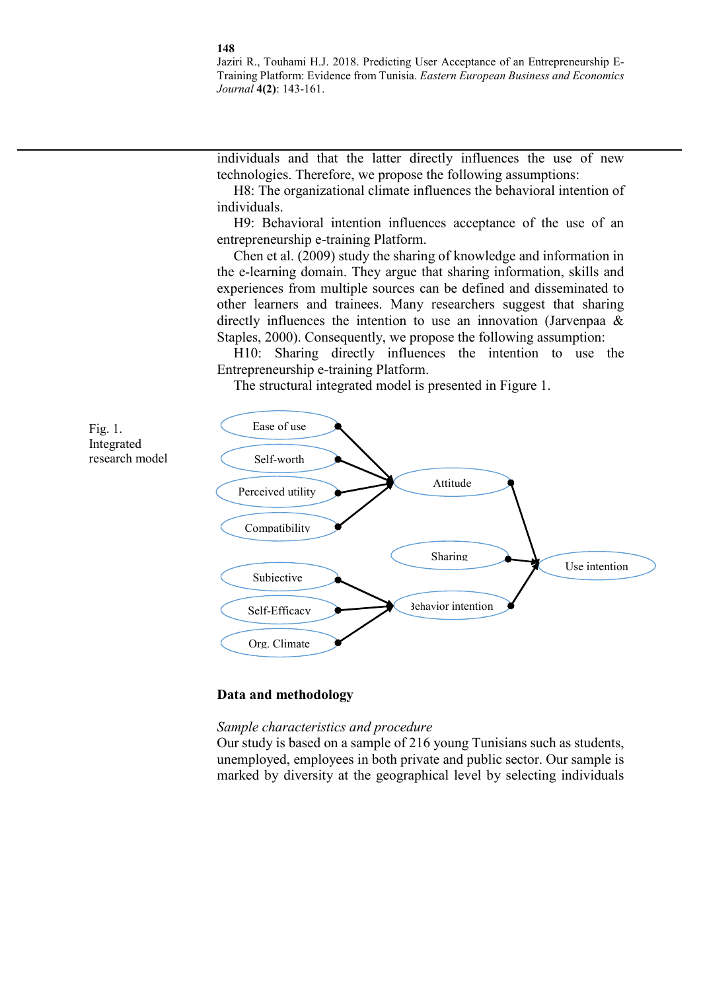individuals and that the latter directly influences the use of new technologies. Therefore, we propose the following assumptions:

H8: The organizational climate influences the behavioral intention of individuals.

H9: Behavioral intention influences acceptance of the use of an entrepreneurship e-training Platform.

Chen et al. (2009) study the sharing of knowledge and information in the e-learning domain. They argue that sharing information, skills and experiences from multiple sources can be defined and disseminated to other learners and trainees. Many researchers suggest that sharing directly influences the intention to use an innovation (Jarvenpaa & Staples, 2000). Consequently, we propose the following assumption:

H10: Sharing directly influences the intention to use the Entrepreneurship e-training Platform.

The structural integrated model is presented in Figure 1.



#### **Data and methodology**

## *Sample characteristics and procedure*

Our study is based on a sample of 216 young Tunisians such as students, unemployed, employees in both private and public sector. Our sample is marked by diversity at the geographical level by selecting individuals

#### **148**

Fig. 1. Integrated research model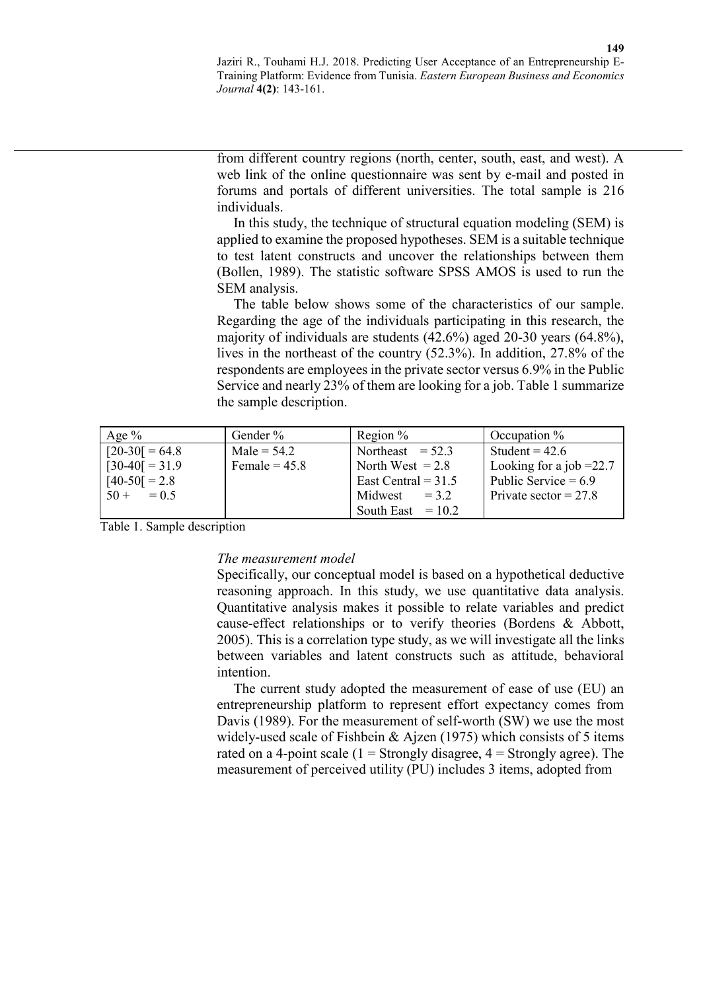from different country regions (north, center, south, east, and west). A web link of the online questionnaire was sent by e-mail and posted in forums and portals of different universities. The total sample is 216 individuals.

In this study, the technique of structural equation modeling (SEM) is applied to examine the proposed hypotheses. SEM is a suitable technique to test latent constructs and uncover the relationships between them (Bollen, 1989). The statistic software SPSS AMOS is used to run the SEM analysis.

The table below shows some of the characteristics of our sample. Regarding the age of the individuals participating in this research, the majority of individuals are students (42.6%) aged 20-30 years (64.8%), lives in the northeast of the country (52.3%). In addition, 27.8% of the respondents are employees in the private sector versus 6.9% in the Public Service and nearly 23% of them are looking for a job. Table 1 summarize the sample description.

| Age $\%$         | Gender $\%$     | Region $%$            | Occupation $\%$            |
|------------------|-----------------|-----------------------|----------------------------|
| $[20-30] = 64.8$ | Male = $54.2$   | Northeast $= 52.3$    | Student = $42.6$           |
| $[30-40] = 31.9$ | Female = $45.8$ | North West $= 2.8$    | Looking for a job = $22.7$ |
| $[40-50] = 2.8$  |                 | East Central = $31.5$ | Public Service = $6.9$     |
| $50 + 0.5$       |                 | $Midwest = 3.2$       | Private sector = $27.8$    |
|                  |                 | South East $= 10.2$   |                            |

Table 1. Sample description

#### *The measurement model*

Specifically, our conceptual model is based on a hypothetical deductive reasoning approach. In this study, we use quantitative data analysis. Quantitative analysis makes it possible to relate variables and predict cause-effect relationships or to verify theories (Bordens & Abbott, 2005). This is a correlation type study, as we will investigate all the links between variables and latent constructs such as attitude, behavioral intention.

The current study adopted the measurement of ease of use (EU) an entrepreneurship platform to represent effort expectancy comes from Davis (1989). For the measurement of self-worth (SW) we use the most widely-used scale of Fishbein & Ajzen (1975) which consists of 5 items rated on a 4-point scale  $(1 =$  Strongly disagree,  $4 =$  Strongly agree). The measurement of perceived utility (PU) includes 3 items, adopted from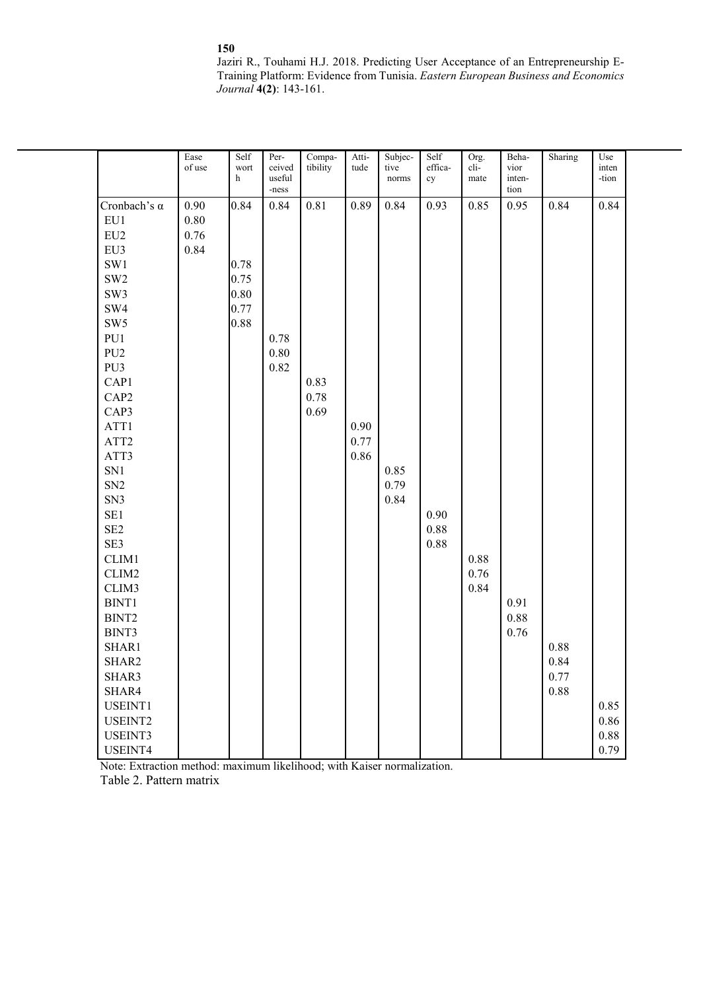Note: Extraction method: maximum likelihood; with Kaiser normalization.

Table 2. Pattern matrix

**150**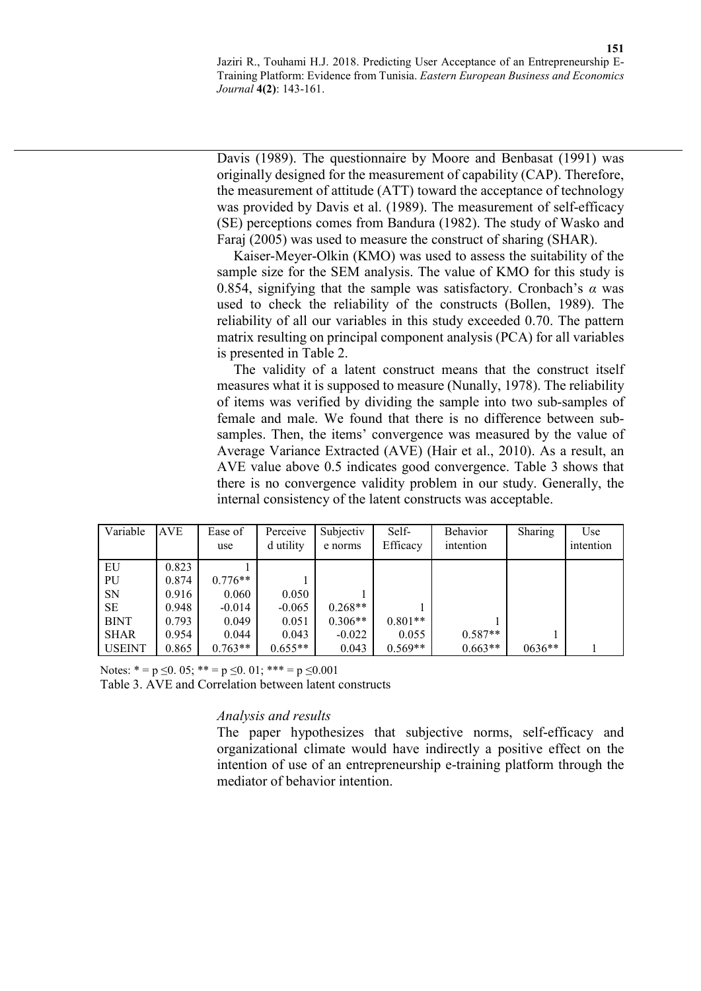Davis (1989). The questionnaire by Moore and Benbasat (1991) was originally designed for the measurement of capability (CAP). Therefore, the measurement of attitude (ATT) toward the acceptance of technology was provided by Davis et al. (1989). The measurement of self-efficacy (SE) perceptions comes from Bandura (1982). The study of Wasko and Faraj (2005) was used to measure the construct of sharing (SHAR).

Kaiser-Meyer-Olkin (KMO) was used to assess the suitability of the sample size for the SEM analysis. The value of KMO for this study is 0.854, signifying that the sample was satisfactory. Cronbach's *α* was used to check the reliability of the constructs (Bollen, 1989). The reliability of all our variables in this study exceeded 0.70. The pattern matrix resulting on principal component analysis (PCA) for all variables is presented in Table 2.

The validity of a latent construct means that the construct itself measures what it is supposed to measure (Nunally, 1978). The reliability of items was verified by dividing the sample into two sub-samples of female and male. We found that there is no difference between subsamples. Then, the items' convergence was measured by the value of Average Variance Extracted (AVE) (Hair et al., 2010). As a result, an AVE value above 0.5 indicates good convergence. Table 3 shows that there is no convergence validity problem in our study. Generally, the internal consistency of the latent constructs was acceptable.

| Variable      | <b>AVE</b> | Ease of<br>use | Perceive<br>d utility | Subjectiv<br>e norms | Self-<br>Efficacy | <b>Behavior</b><br>intention | Sharing  | Use<br>intention |
|---------------|------------|----------------|-----------------------|----------------------|-------------------|------------------------------|----------|------------------|
| EU            | 0.823      |                |                       |                      |                   |                              |          |                  |
| PU            | 0.874      | $0.776**$      |                       |                      |                   |                              |          |                  |
| <b>SN</b>     | 0.916      | 0.060          | 0.050                 |                      |                   |                              |          |                  |
| SE            | 0.948      | $-0.014$       | $-0.065$              | $0.268**$            |                   |                              |          |                  |
| <b>BINT</b>   | 0.793      | 0.049          | 0.051                 | $0.306**$            | $0.801**$         |                              |          |                  |
| <b>SHAR</b>   | 0.954      | 0.044          | 0.043                 | $-0.022$             | 0.055             | $0.587**$                    |          |                  |
| <b>USEINT</b> | 0.865      | $0.763**$      | $0.655**$             | 0.043                | $0.569**$         | $0.663**$                    | $0636**$ |                  |

Notes:  $* = p \le 0.05$ ;  $** = p \le 0.01$ ;  $*** = p \le 0.001$ Table 3. AVE and Correlation between latent constructs

## *Analysis and results*

The paper hypothesizes that subjective norms, self-efficacy and organizational climate would have indirectly a positive effect on the intention of use of an entrepreneurship e-training platform through the mediator of behavior intention.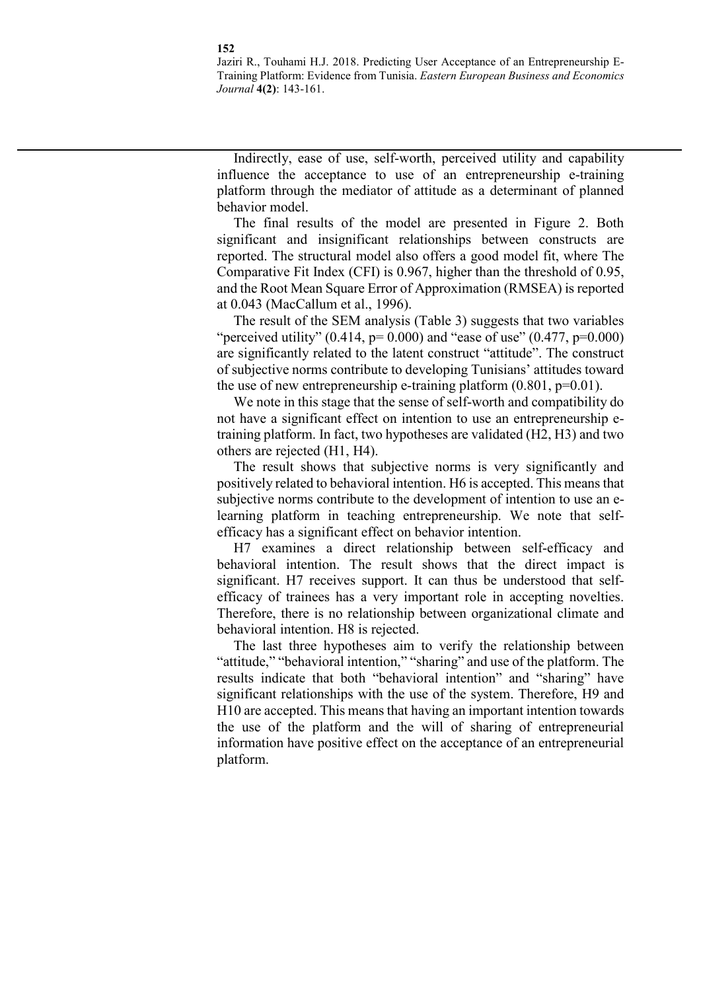Indirectly, ease of use, self-worth, perceived utility and capability influence the acceptance to use of an entrepreneurship e-training platform through the mediator of attitude as a determinant of planned behavior model.

The final results of the model are presented in Figure 2. Both significant and insignificant relationships between constructs are reported. The structural model also offers a good model fit, where The Comparative Fit Index (CFI) is 0.967, higher than the threshold of 0.95, and the Root Mean Square Error of Approximation (RMSEA) is reported at 0.043 (MacCallum et al., 1996).

The result of the SEM analysis (Table 3) suggests that two variables "perceived utility" (0.414,  $p= 0.000$ ) and "ease of use" (0.477,  $p=0.000$ ) are significantly related to the latent construct "attitude". The construct of subjective norms contribute to developing Tunisians' attitudes toward the use of new entrepreneurship e-training platform  $(0.801, p=0.01)$ .

We note in this stage that the sense of self-worth and compatibility do not have a significant effect on intention to use an entrepreneurship etraining platform. In fact, two hypotheses are validated (H2, H3) and two others are rejected (H1, H4).

The result shows that subjective norms is very significantly and positively related to behavioral intention. H6 is accepted. This means that subjective norms contribute to the development of intention to use an elearning platform in teaching entrepreneurship. We note that selfefficacy has a significant effect on behavior intention.

H7 examines a direct relationship between self-efficacy and behavioral intention. The result shows that the direct impact is significant. H7 receives support. It can thus be understood that selfefficacy of trainees has a very important role in accepting novelties. Therefore, there is no relationship between organizational climate and behavioral intention. H8 is rejected.

The last three hypotheses aim to verify the relationship between "attitude," "behavioral intention," "sharing" and use of the platform. The results indicate that both "behavioral intention" and "sharing" have significant relationships with the use of the system. Therefore, H9 and H10 are accepted. This means that having an important intention towards the use of the platform and the will of sharing of entrepreneurial information have positive effect on the acceptance of an entrepreneurial platform.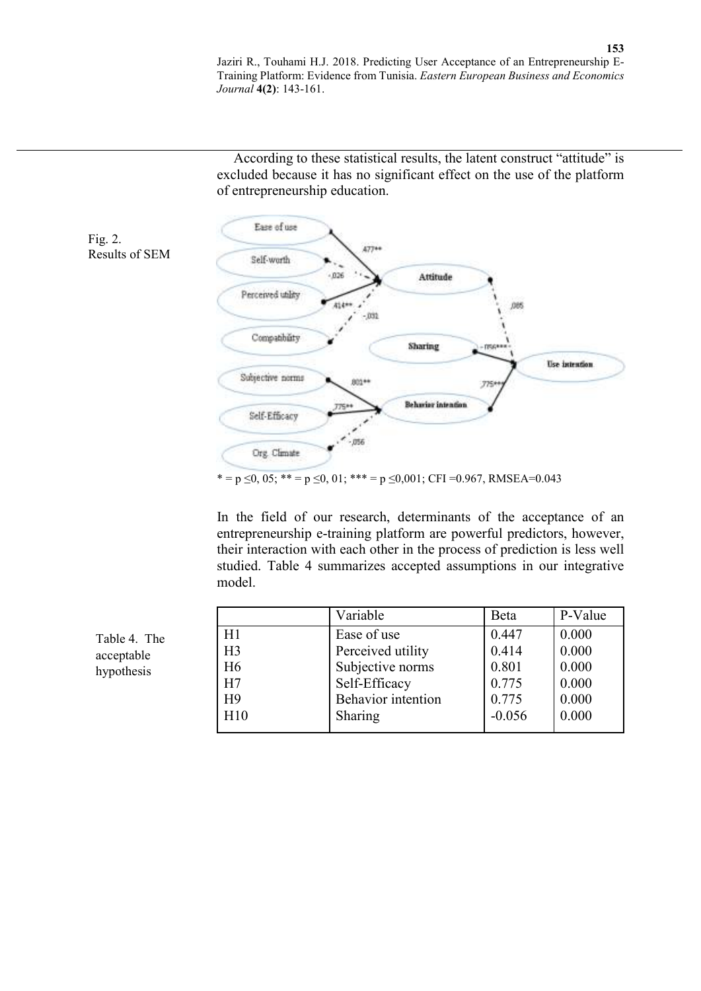

In the field of our research, determinants of the acceptance of an entrepreneurship e-training platform are powerful predictors, however, their interaction with each other in the process of prediction is less well studied. Table 4 summarizes accepted assumptions in our integrative model.

|                | Variable                  | Beta     | P-Value |
|----------------|---------------------------|----------|---------|
| H1             | Ease of use               | 0.447    | 0.000   |
| H <sub>3</sub> | Perceived utility         | 0.414    | 0.000   |
| H <sub>6</sub> | Subjective norms          | 0.801    | 0.000   |
| H7             | Self-Efficacy             | 0.775    | 0.000   |
| H9             | <b>Behavior</b> intention | 0.775    | 0.000   |
| H10            | Sharing                   | $-0.056$ | 0.000   |
|                |                           |          |         |

| Table 4. The |  |
|--------------|--|
| acceptable   |  |
| hypothesis   |  |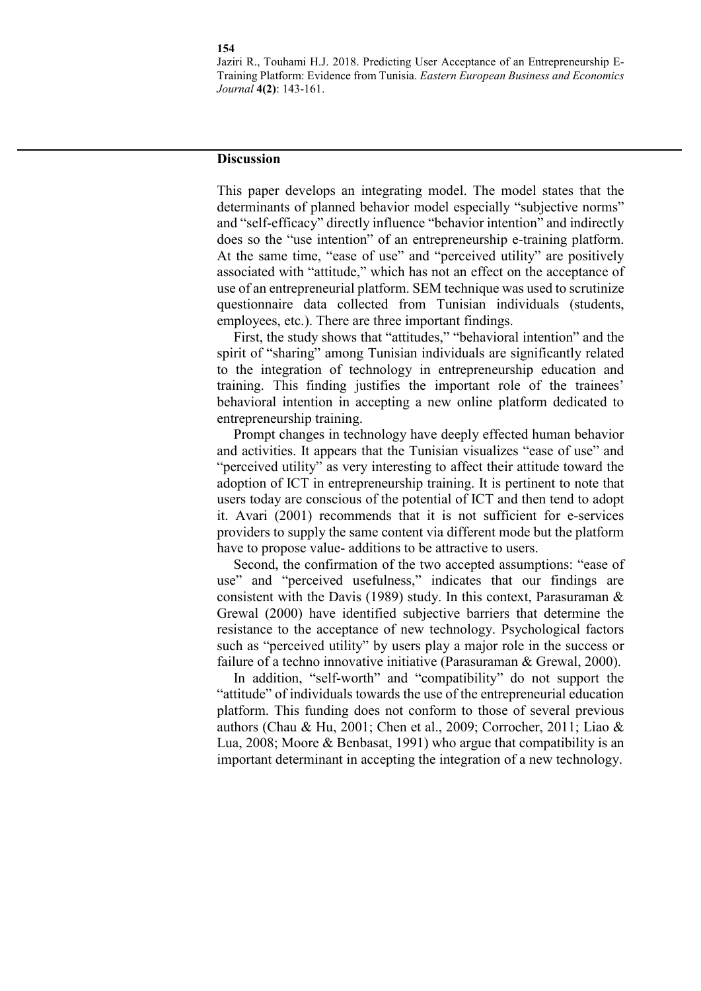#### **Discussion**

This paper develops an integrating model. The model states that the determinants of planned behavior model especially "subjective norms" and "self-efficacy" directly influence "behavior intention" and indirectly does so the "use intention" of an entrepreneurship e-training platform. At the same time, "ease of use" and "perceived utility" are positively associated with "attitude," which has not an effect on the acceptance of use of an entrepreneurial platform. SEM technique was used to scrutinize questionnaire data collected from Tunisian individuals (students, employees, etc.). There are three important findings.

First, the study shows that "attitudes," "behavioral intention" and the spirit of "sharing" among Tunisian individuals are significantly related to the integration of technology in entrepreneurship education and training. This finding justifies the important role of the trainees' behavioral intention in accepting a new online platform dedicated to entrepreneurship training.

Prompt changes in technology have deeply effected human behavior and activities. It appears that the Tunisian visualizes "ease of use" and "perceived utility" as very interesting to affect their attitude toward the adoption of ICT in entrepreneurship training. It is pertinent to note that users today are conscious of the potential of ICT and then tend to adopt it. Avari (2001) recommends that it is not sufficient for e-services providers to supply the same content via different mode but the platform have to propose value- additions to be attractive to users.

Second, the confirmation of the two accepted assumptions: "ease of use" and "perceived usefulness," indicates that our findings are consistent with the Davis (1989) study. In this context, Parasuraman & Grewal (2000) have identified subjective barriers that determine the resistance to the acceptance of new technology. Psychological factors such as "perceived utility" by users play a major role in the success or failure of a techno innovative initiative (Parasuraman & Grewal, 2000).

In addition, "self-worth" and "compatibility" do not support the "attitude" of individuals towards the use of the entrepreneurial education platform. This funding does not conform to those of several previous authors (Chau & Hu, 2001; Chen et al., 2009; Corrocher, 2011; Liao & Lua, 2008; Moore & Benbasat, 1991) who argue that compatibility is an important determinant in accepting the integration of a new technology.

#### **154**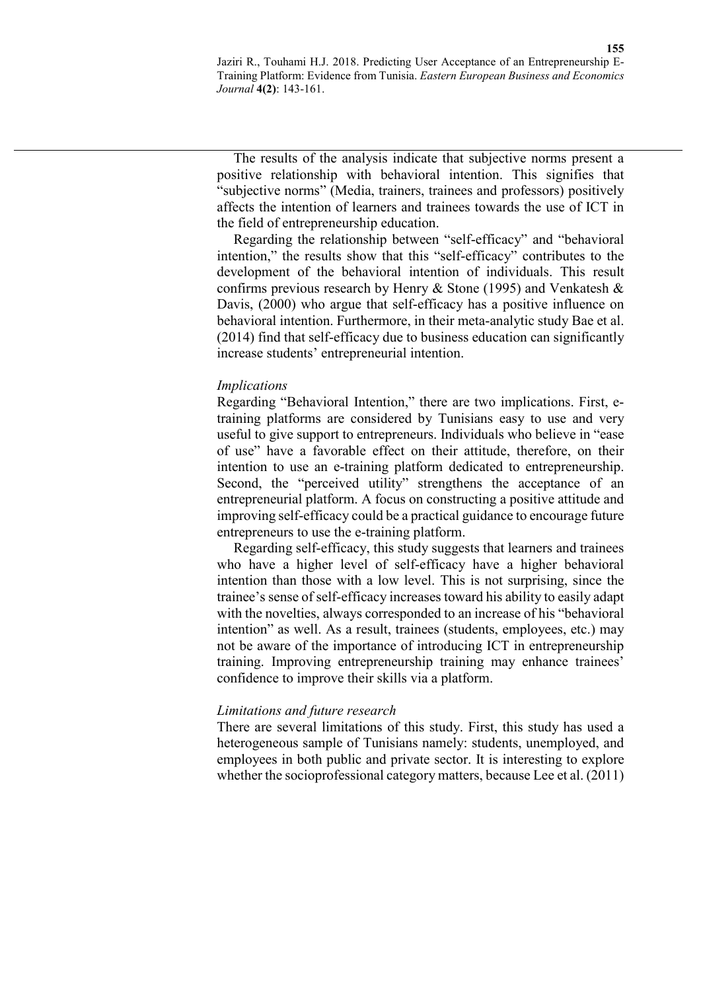The results of the analysis indicate that subjective norms present a positive relationship with behavioral intention. This signifies that "subjective norms" (Media, trainers, trainees and professors) positively affects the intention of learners and trainees towards the use of ICT in the field of entrepreneurship education.

Regarding the relationship between "self-efficacy" and "behavioral intention," the results show that this "self-efficacy" contributes to the development of the behavioral intention of individuals. This result confirms previous research by Henry & Stone (1995) and Venkatesh & Davis, (2000) who argue that self-efficacy has a positive influence on behavioral intention. Furthermore, in their meta-analytic study Bae et al. (2014) find that self-efficacy due to business education can significantly increase students' entrepreneurial intention.

## *Implications*

Regarding "Behavioral Intention," there are two implications. First, etraining platforms are considered by Tunisians easy to use and very useful to give support to entrepreneurs. Individuals who believe in "ease of use" have a favorable effect on their attitude, therefore, on their intention to use an e-training platform dedicated to entrepreneurship. Second, the "perceived utility" strengthens the acceptance of an entrepreneurial platform. A focus on constructing a positive attitude and improving self-efficacy could be a practical guidance to encourage future entrepreneurs to use the e-training platform.

Regarding self-efficacy, this study suggests that learners and trainees who have a higher level of self-efficacy have a higher behavioral intention than those with a low level. This is not surprising, since the trainee's sense of self-efficacy increases toward his ability to easily adapt with the novelties, always corresponded to an increase of his "behavioral intention" as well. As a result, trainees (students, employees, etc.) may not be aware of the importance of introducing ICT in entrepreneurship training. Improving entrepreneurship training may enhance trainees' confidence to improve their skills via a platform.

# *Limitations and future research*

There are several limitations of this study. First, this study has used a heterogeneous sample of Tunisians namely: students, unemployed, and employees in both public and private sector. It is interesting to explore whether the socioprofessional category matters, because Lee et al. (2011)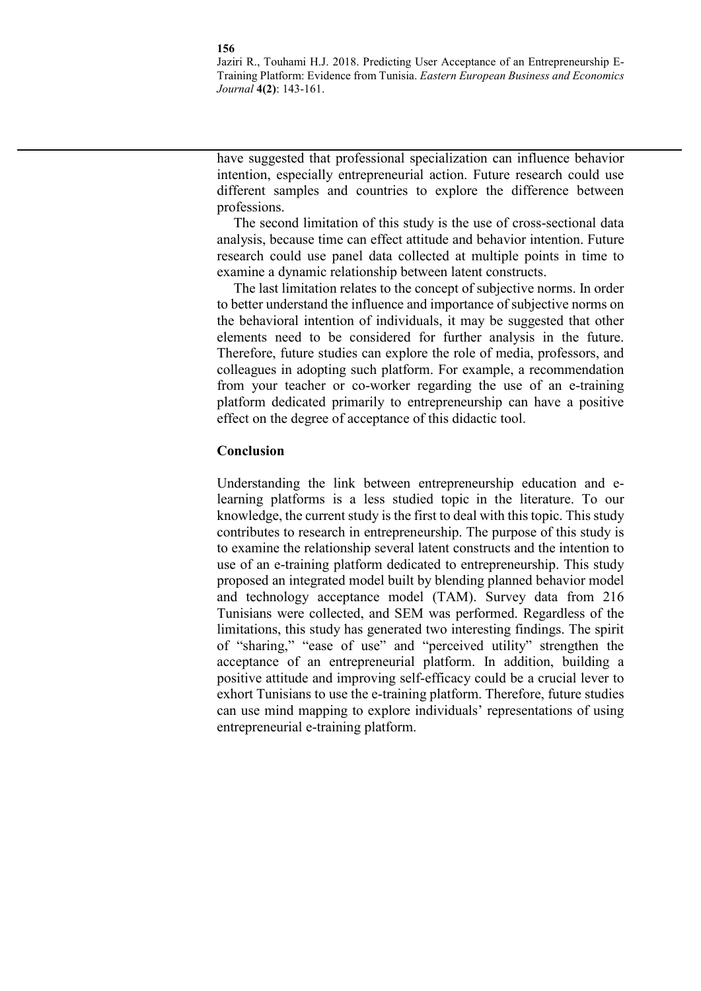have suggested that professional specialization can influence behavior intention, especially entrepreneurial action. Future research could use different samples and countries to explore the difference between professions.

The second limitation of this study is the use of cross-sectional data analysis, because time can effect attitude and behavior intention. Future research could use panel data collected at multiple points in time to examine a dynamic relationship between latent constructs.

The last limitation relates to the concept of subjective norms. In order to better understand the influence and importance of subjective norms on the behavioral intention of individuals, it may be suggested that other elements need to be considered for further analysis in the future. Therefore, future studies can explore the role of media, professors, and colleagues in adopting such platform. For example, a recommendation from your teacher or co-worker regarding the use of an e-training platform dedicated primarily to entrepreneurship can have a positive effect on the degree of acceptance of this didactic tool.

## **Conclusion**

**156** 

Understanding the link between entrepreneurship education and elearning platforms is a less studied topic in the literature. To our knowledge, the current study is the first to deal with this topic. This study contributes to research in entrepreneurship. The purpose of this study is to examine the relationship several latent constructs and the intention to use of an e-training platform dedicated to entrepreneurship. This study proposed an integrated model built by blending planned behavior model and technology acceptance model (TAM). Survey data from 216 Tunisians were collected, and SEM was performed. Regardless of the limitations, this study has generated two interesting findings. The spirit of "sharing," "ease of use" and "perceived utility" strengthen the acceptance of an entrepreneurial platform. In addition, building a positive attitude and improving self-efficacy could be a crucial lever to exhort Tunisians to use the e-training platform. Therefore, future studies can use mind mapping to explore individuals' representations of using entrepreneurial e-training platform.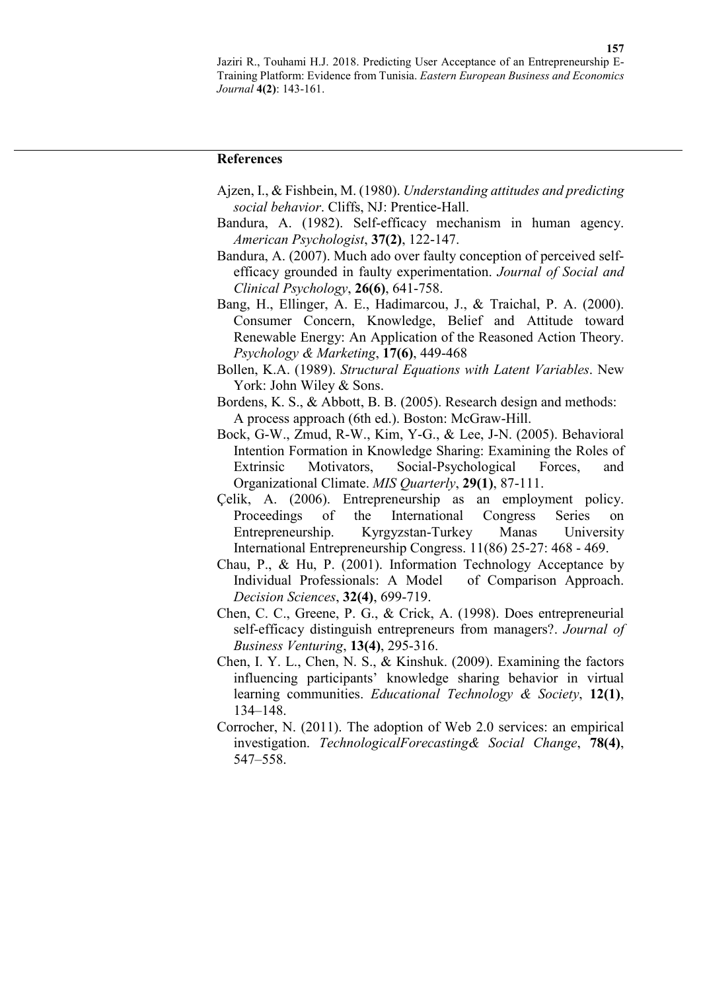## **References**

- Ajzen, I., & Fishbein, M. (1980). *Understanding attitudes and predicting social behavior*. Cliffs, NJ: Prentice-Hall.
- Bandura, A. (1982). Self-efficacy mechanism in human agency. *American Psychologist*, **37(2)**, 122-147.
- Bandura, A. (2007). Much ado over faulty conception of perceived selfefficacy grounded in faulty experimentation. *Journal of Social and Clinical Psychology*, **26(6)**, 641-758.
- Bang, H., Ellinger, A. E., Hadimarcou, J., & Traichal, P. A. (2000). Consumer Concern, Knowledge, Belief and Attitude toward Renewable Energy: An Application of the Reasoned Action Theory. *Psychology & Marketing*, **17(6)**, 449-468
- Bollen, K.A. (1989). *Structural Equations with Latent Variables*. New York: John Wiley & Sons.
- Bordens, K. S., & Abbott, B. B. (2005). Research design and methods: A process approach (6th ed.). Boston: McGraw-Hill.
- Bock, G-W., Zmud, R-W., Kim, Y-G., & Lee, J-N. (2005). Behavioral Intention Formation in Knowledge Sharing: Examining the Roles of Extrinsic Motivators, Social-Psychological Forces, and Organizational Climate. *MIS Quarterly*, **29(1)**, 87-111.
- Çelik, A. (2006). Entrepreneurship as an employment policy. Proceedings of the International Congress Series on Entrepreneurship. Kyrgyzstan-Turkey Manas University International Entrepreneurship Congress. 11(86) 25-27: 468 - 469.
- Chau, P., & Hu, P. (2001). Information Technology Acceptance by Individual Professionals: A Model of Comparison Approach. *Decision Sciences*, **32(4)**, 699‐719.
- Chen, C. C., Greene, P. G., & Crick, A. (1998). Does entrepreneurial self-efficacy distinguish entrepreneurs from managers?. *Journal of Business Venturing*, **13(4)**, 295-316.
- Chen, I. Y. L., Chen, N. S., & Kinshuk. (2009). Examining the factors influencing participants' knowledge sharing behavior in virtual learning communities. *Educational Technology & Society*, **12(1)**, 134–148.
- Corrocher, N. (2011). The adoption of Web 2.0 services: an empirical investigation. *TechnologicalForecasting& Social Change*, **78(4)**, 547–558.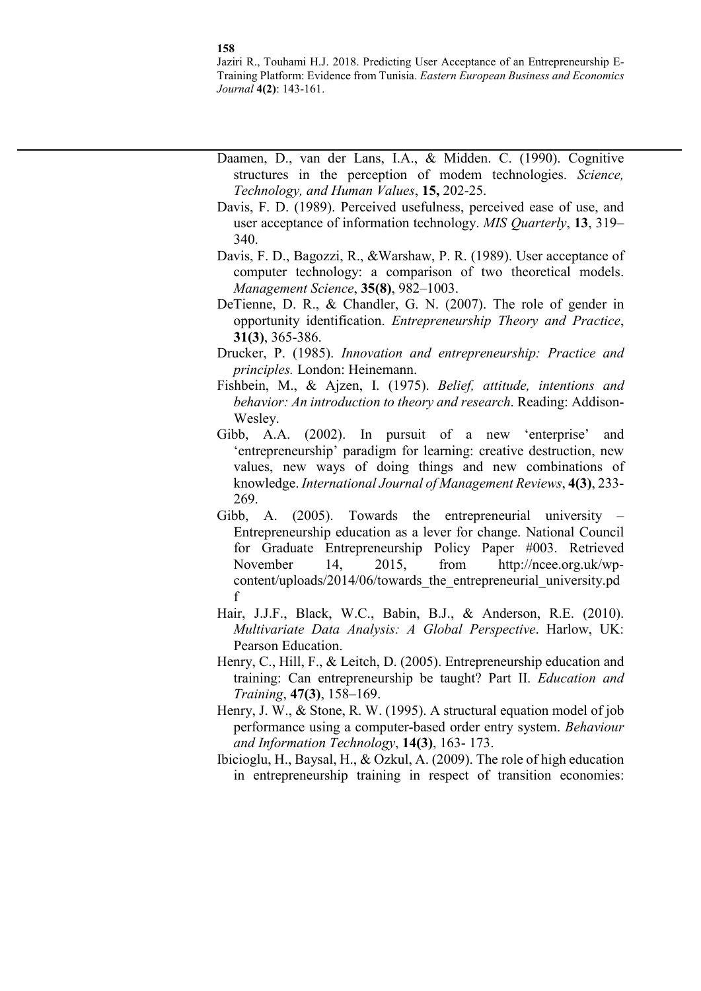- Daamen, D., van der Lans, I.A., & Midden. C. (1990). Cognitive structures in the perception of modem technologies. *Science, Technology, and Human Values*, **15,** 202-25.
- Davis, F. D. (1989). Perceived usefulness, perceived ease of use, and user acceptance of information technology. *MIS Quarterly*, **13**, 319– 340.
- Davis, F. D., Bagozzi, R., &Warshaw, P. R. (1989). User acceptance of computer technology: a comparison of two theoretical models. *Management Science*, **35(8)**, 982–1003.
- DeTienne, D. R., & Chandler, G. N. (2007). The role of gender in opportunity identification. *Entrepreneurship Theory and Practice*, **31(3)**, 365-386.
- Drucker, P. (1985). *Innovation and entrepreneurship: Practice and principles.* London: Heinemann.
- Fishbein, M., & Ajzen, I. (1975). *Belief, attitude, intentions and behavior: An introduction to theory and research*. Reading: Addison-Wesley.
- Gibb, A.A. (2002). In pursuit of a new 'enterprise' and 'entrepreneurship' paradigm for learning: creative destruction, new values, new ways of doing things and new combinations of knowledge. *International Journal of Management Reviews*, **4(3)**, 233- 269.
- Gibb, A. (2005). Towards the entrepreneurial university Entrepreneurship education as a lever for change. National Council for Graduate Entrepreneurship Policy Paper #003. Retrieved November 14, 2015, from http://ncee.org.uk/wpcontent/uploads/2014/06/towards the entrepreneurial university.pd f
- Hair, J.J.F., Black, W.C., Babin, B.J., & Anderson, R.E. (2010). *Multivariate Data Analysis: A Global Perspective*. Harlow, UK: Pearson Education.
- Henry, C., Hill, F., & Leitch, D. (2005). Entrepreneurship education and training: Can entrepreneurship be taught? Part II. *Education and Training*, **47(3)**, 158–169.
- Henry, J. W., & Stone, R. W. (1995). A structural equation model of job performance using a computer-based order entry system. *Behaviour and Information Technology*, **14(3)**, 163- 173.
- Ibicioglu, H., Baysal, H., & Ozkul, A. (2009). The role of high education in entrepreneurship training in respect of transition economies:

#### **158**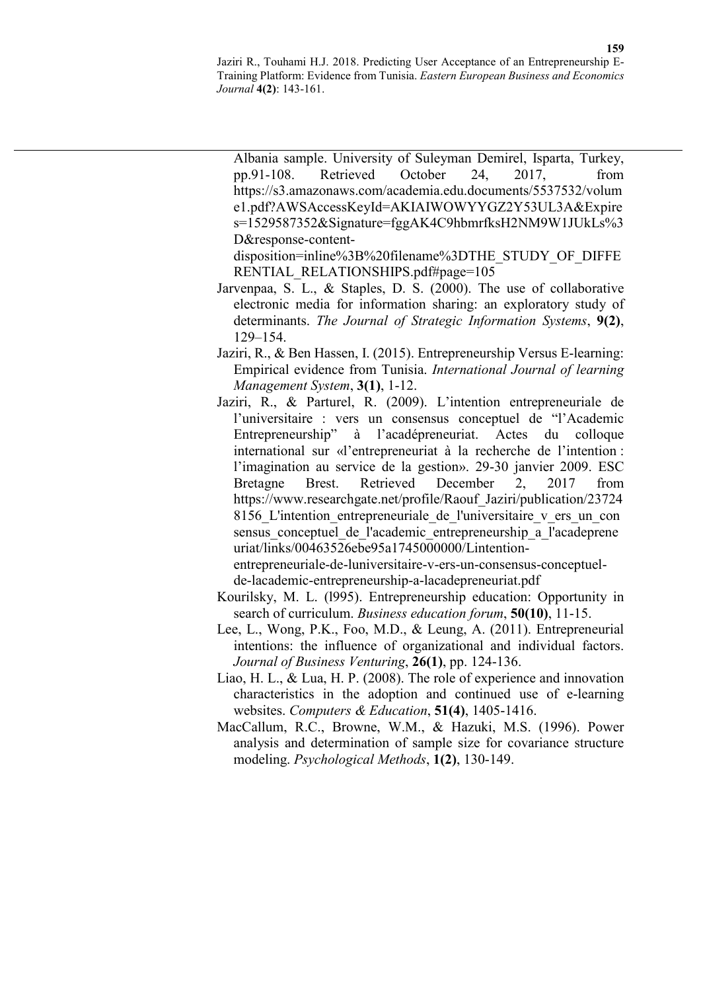Albania sample. University of Suleyman Demirel, Isparta, Turkey, pp.91-108. Retrieved October 24, 2017, from https://s3.amazonaws.com/academia.edu.documents/5537532/volum e1.pdf?AWSAccessKeyId=AKIAIWOWYYGZ2Y53UL3A&Expire s=1529587352&Signature=fggAK4C9hbmrfksH2NM9W1JUkLs%3 D&response-content-

disposition=inline%3B%20filename%3DTHE\_STUDY\_OF\_DIFFE RENTIAL\_RELATIONSHIPS.pdf#page=105

- Jarvenpaa, S. L., & Staples, D. S. (2000). The use of collaborative electronic media for information sharing: an exploratory study of determinants. *The Journal of Strategic Information Systems*, **9(2)**, 129–154.
- Jaziri, R., & Ben Hassen, I. (2015). Entrepreneurship Versus E-learning: Empirical evidence from Tunisia. *International Journal of learning Management System*, **3(1)**, 1-12.
- Jaziri, R., & Parturel, R. (2009). L'intention entrepreneuriale de l'universitaire : vers un consensus conceptuel de "l'Academic Entrepreneurship" à l'acadépreneuriat. Actes du colloque international sur «l'entrepreneuriat à la recherche de l'intention : l'imagination au service de la gestion». 29-30 janvier 2009. ESC Bretagne Brest. Retrieved December 2, 2017 from https://www.researchgate.net/profile/Raouf\_Jaziri/publication/23724 8156 L'intention entrepreneuriale de l'universitaire v ers un con sensus conceptuel de l'academic entrepreneurship a l'acadeprene uriat/links/00463526ebe95a1745000000/Lintentionentrepreneuriale-de-luniversitaire-v-ers-un-consensus-conceptuel-

de-lacademic-entrepreneurship-a-lacadepreneuriat.pdf

- Kourilsky, M. L. (l995). Entrepreneurship education: Opportunity in search of curriculum. *Business education forum*, **50(10)**, 11-15.
- Lee, L., Wong, P.K., Foo, M.D., & Leung, A. (2011). Entrepreneurial intentions: the influence of organizational and individual factors. *Journal of Business Venturing*, **26(1)**, pp. 124-136.
- Liao, H. L., & Lua, H. P. (2008). The role of experience and innovation characteristics in the adoption and continued use of e-learning websites. *Computers & Education*, **51(4)**, 1405-1416.
- MacCallum, R.C., Browne, W.M., & Hazuki, M.S. (1996). Power analysis and determination of sample size for covariance structure modeling. *Psychological Methods*, **1(2)**, 130-149.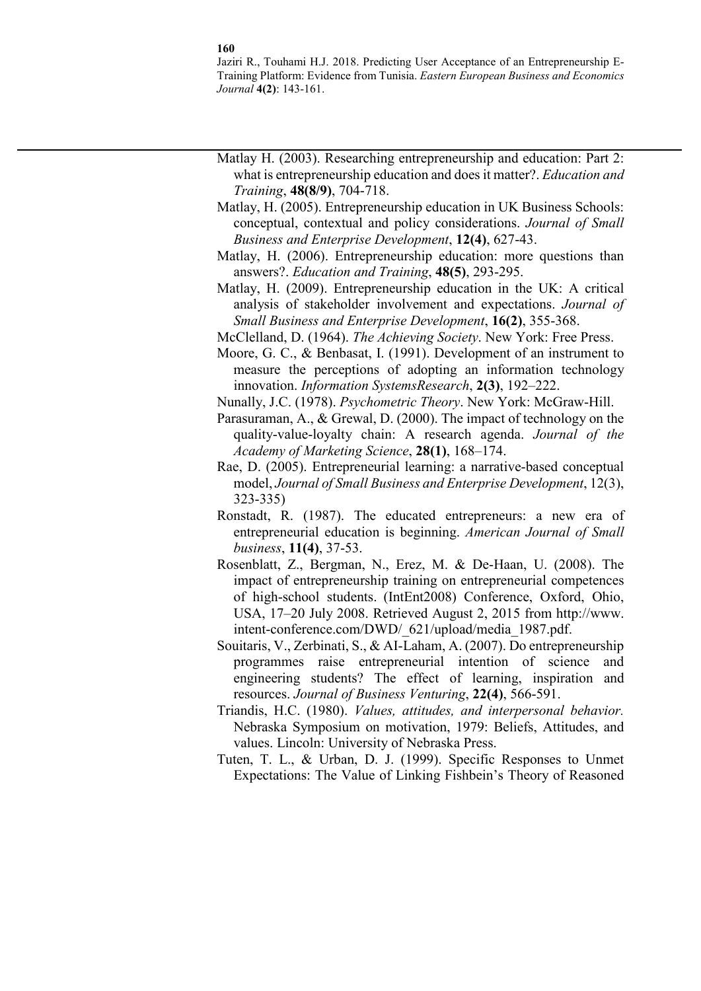Jaziri R., Touhami H.J. 2018. Predicting User Acceptance of an Entrepreneurship E-Training Platform: Evidence from Tunisia. *Eastern European Business and Economics Journal* **4(2)**: 143-161.

- Matlay H. (2003). Researching entrepreneurship and education: Part 2: what is entrepreneurship education and does it matter?. *Education and Training*, **48(8/9)**, 704-718.
- Matlay, H. (2005). Entrepreneurship education in UK Business Schools: conceptual, contextual and policy considerations. *Journal of Small Business and Enterprise Development*, **12(4)**, 627-43.
- Matlay, H. (2006). Entrepreneurship education: more questions than answers?. *Education and Training*, **48(5)**, 293-295.
- Matlay, H. (2009). Entrepreneurship education in the UK: A critical analysis of stakeholder involvement and expectations. *Journal of Small Business and Enterprise Development*, **16(2)**, 355-368.
- McClelland, D. (1964). *The Achieving Society*. New York: Free Press.
- Moore, G. C., & Benbasat, I. (1991). Development of an instrument to measure the perceptions of adopting an information technology innovation. *Information SystemsResearch*, **2(3)**, 192–222.
- Nunally, J.C. (1978). *Psychometric Theory*. New York: McGraw-Hill.
- Parasuraman, A., & Grewal, D. (2000). The impact of technology on the quality-value-loyalty chain: A research agenda. *Journal of the Academy of Marketing Science*, **28(1)**, 168–174.
- Rae, D. (2005). Entrepreneurial learning: a narrative-based conceptual model, *Journal of Small Business and Enterprise Development*, 12(3), 323-335)
- Ronstadt, R. (1987). The educated entrepreneurs: a new era of entrepreneurial education is beginning. *American Journal of Small business*, **11(4)**, 37-53.
- Rosenblatt, Z., Bergman, N., Erez, M. & De-Haan, U. (2008). The impact of entrepreneurship training on entrepreneurial competences of high-school students. (IntEnt2008) Conference, Oxford, Ohio, USA, 17–20 July 2008. Retrieved August 2, 2015 from http://www. intent-conference.com/DWD/\_621/upload/media\_1987.pdf.
- Souitaris, V., Zerbinati, S., & AI-Laham, A. (2007). Do entrepreneurship programmes raise entrepreneurial intention of science and engineering students? The effect of learning, inspiration and resources. *Journal of Business Venturing*, **22(4)**, 566-591.
- Triandis, H.C. (1980). *Values, attitudes, and interpersonal behavior.* Nebraska Symposium on motivation, 1979: Beliefs, Attitudes, and values. Lincoln: University of Nebraska Press.
- Tuten, T. L., & Urban, D. J. (1999). Specific Responses to Unmet Expectations: The Value of Linking Fishbein's Theory of Reasoned